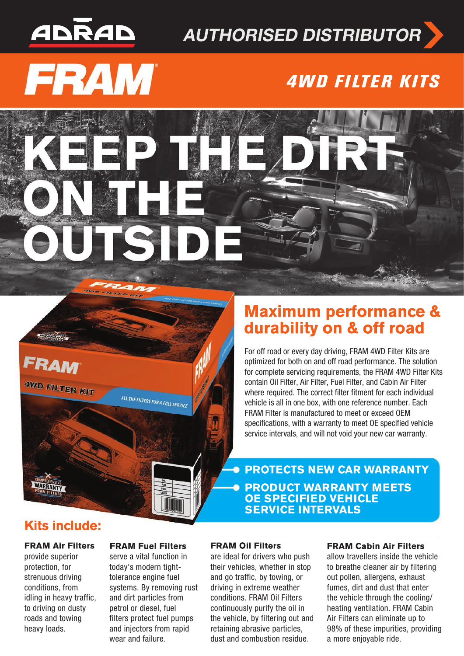## <u>ADRAD</u>

## **AUTHORISED DISTRIBUTOR**

# **FRAM®**

## **4WD FILTER KITS**

FRAM

<u>aznačkim</u>

4WD FILTER KIT

### **Maximum performance &** durability on & off road

For off road or every day driving, FRAM 4WD Filter Kits are optimized for both on and off road performance. The solution for complete servicing requirements, the FRAM 4WD Filter Kits contain Oil Filter, Air Filter, Fuel Filter, and Cabin Air Filter where required. The correct filter fitment for each individual vehicle is all in one box, with one reference number. Each FRAM Filter is manufactured to meet or exceed OEM specifications, with a warranty to meet OE specified vehicle service intervals, and will not void your new car warranty.

**PROTECTS NEW CAR WARRANTY PRODUCT WARRANTY MEETS OE SPECIFIED VEHICLE SERVICE INTERVALS** 

#### **Kits include:**

WARRANTY

**FRAM Air Filters** provide superior protection, for strenuous driving conditions, from idling in heavy traffic, to driving on dusty roads and towing heavy loads.

#### **FRAM Fuel Filters**

serve a vital function in today's modern tighttolerance engine fuel systems. By removing rust and dirt particles from petrol or diesel, fuel filters protect fuel pumps and injectors from rapid wear and failure.

ALL THE FILTERS FOR A FULL SERVICE

#### **FRAM Oil Filters**

are ideal for drivers who push their vehicles, whether in stop and go traffic, by towing, or driving in extreme weather conditions. FRAM Oil Filters continuously purify the oil in the vehicle, by filtering out and retaining abrasive particles, dust and combustion residue.

#### **FRAM Cabin Air Filters**

allow travellers inside the vehicle to breathe cleaner air by filtering out pollen, allergens, exhaust fumes, dirt and dust that enter the vehicle through the cooling/ heating ventilation. FRAM Cabin Air Filters can eliminate up to 98% of these impurities, providing a more enjoyable ride.